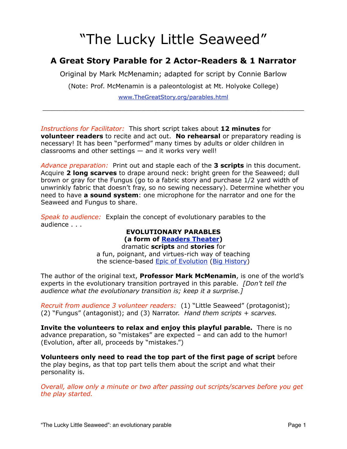# "The Lucky Little Seaweed"

### **A Great Story Parable for 2 Actor-Readers & 1 Narrator**

Original by Mark McMenamin; adapted for script by Connie Barlow

(Note: Prof. McMenamin is a paleontologist at Mt. Holyoke College)

[www.TheGreatStory.org/parables.html](http://www.TheGreatStory.org)  $\_$  , and the set of the set of the set of the set of the set of the set of the set of the set of the set of the set of the set of the set of the set of the set of the set of the set of the set of the set of the set of th

*Instructions for Facilitator:* This short script takes about **12 minutes** for **volunteer readers** to recite and act out. **No rehearsal** or preparatory reading is necessary! It has been "performed" many times by adults or older children in classrooms and other settings — and it works very well!

*Advance preparation:* Print out and staple each of the **3 scripts** in this document. Acquire **2 long scarves** to drape around neck: bright green for the Seaweed; dull brown or gray for the Fungus (go to a fabric story and purchase 1/2 yard width of unwrinkly fabric that doesn't fray, so no sewing necessary). Determine whether you need to have **a sound system**: one microphone for the narrator and one for the Seaweed and Fungus to share.

*Speak to audience:* Explain the concept of evolutionary parables to the audience . . .

#### **EVOLUTIONARY PARABLES (a form of [Readers Theater\)](http://en.wikipedia.org/wiki/Reader)**

dramatic **scripts** and **stories** for a fun, poignant, and virtues-rich way of teaching the science-based [Epic of Evolution](http://www.thegreatstory.org/what_is.html) [\(Big History\)](http://en.wikipedia.org/wiki/Big_History)

The author of the original text, **Professor Mark McMenamin**, is one of the world's experts in the evolutionary transition portrayed in this parable. *[Don't tell the audience what the evolutionary transition is; keep it a surprise.]*

*Recruit from audience 3 volunteer readers:* (1) "Little Seaweed" (protagonist); (2) "Fungus" (antagonist); and (3) Narrator. *Hand them scripts + scarves.*

**Invite the volunteers to relax and enjoy this playful parable.** There is no advance preparation, so "mistakes" are expected – and can add to the humor! (Evolution, after all, proceeds by "mistakes.")

**Volunteers only need to read the top part of the first page of script** before the play begins, as that top part tells them about the script and what their personality is.

*Overall, allow only a minute or two after passing out scripts/scarves before you get the play started.*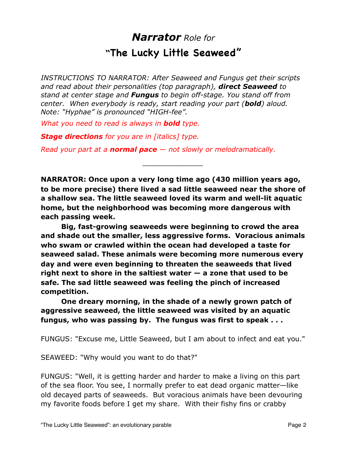### *Narrator Role for* **"The Lucky Little Seaweed"**

*INSTRUCTIONS TO NARRATOR: After Seaweed and Fungus get their scripts and read about their personalities (top paragraph), direct Seaweed to stand at center stage and Fungus to begin off-stage. You stand off from center. When everybody is ready, start reading your part (bold) aloud. Note: "Hyphae" is pronounced "HIGH-fee".* 

*What you need to read is always in bold type.*

*Stage directions for you are in [italics] type.*

*Read your part at a normal pace — not slowly or melodramatically.*

**NARRATOR: Once upon a very long time ago (430 million years ago, to be more precise) there lived a sad little seaweed near the shore of a shallow sea. The little seaweed loved its warm and well-lit aquatic home, but the neighborhood was becoming more dangerous with each passing week.** 

*\_\_\_\_\_\_\_\_\_\_\_\_\_\_*

 **Big, fast-growing seaweeds were beginning to crowd the area and shade out the smaller, less aggressive forms. Voracious animals who swam or crawled within the ocean had developed a taste for seaweed salad. These animals were becoming more numerous every day and were even beginning to threaten the seaweeds that lived right next to shore in the saltiest water — a zone that used to be safe. The sad little seaweed was feeling the pinch of increased competition.**

 **One dreary morning, in the shade of a newly grown patch of aggressive seaweed, the little seaweed was visited by an aquatic fungus, who was passing by. The fungus was first to speak . . .**

FUNGUS: "Excuse me, Little Seaweed, but I am about to infect and eat you."

SEAWEED: "Why would you want to do that?"

FUNGUS: "Well, it is getting harder and harder to make a living on this part of the sea floor. You see, I normally prefer to eat dead organic matter—like old decayed parts of seaweeds. But voracious animals have been devouring my favorite foods before I get my share. With their fishy fins or crabby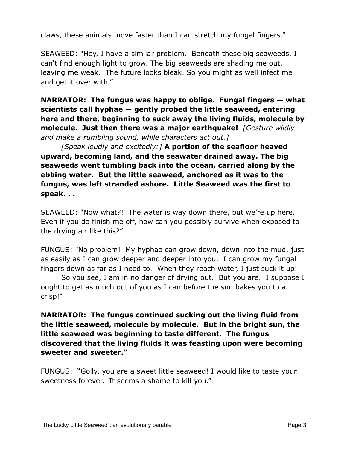claws, these animals move faster than I can stretch my fungal fingers."

SEAWEED: "Hey, I have a similar problem. Beneath these big seaweeds, I can't find enough light to grow. The big seaweeds are shading me out, leaving me weak. The future looks bleak. So you might as well infect me and get it over with."

**NARRATOR: The fungus was happy to oblige. Fungal fingers — what scientists call hyphae — gently probed the little seaweed, entering here and there, beginning to suck away the living fluids, molecule by molecule. Just then there was a major earthquake!** *[Gesture wildly and make a rumbling sound, while characters act out.]*

*[Speak loudly and excitedly:]* **A portion of the seafloor heaved upward, becoming land, and the seawater drained away. The big seaweeds went tumbling back into the ocean, carried along by the ebbing water. But the little seaweed, anchored as it was to the fungus, was left stranded ashore. Little Seaweed was the first to speak. . .**

SEAWEED: "Now what?! The water is way down there, but we're up here. Even if you do finish me off, how can you possibly survive when exposed to the drying air like this?"

FUNGUS: "No problem! My hyphae can grow down, down into the mud, just as easily as I can grow deeper and deeper into you. I can grow my fungal fingers down as far as I need to. When they reach water, I just suck it up!

 So you see, I am in no danger of drying out. But you are. I suppose I ought to get as much out of you as I can before the sun bakes you to a crisp!"

**NARRATOR: The fungus continued sucking out the living fluid from the little seaweed, molecule by molecule. But in the bright sun, the little seaweed was beginning to taste different. The fungus discovered that the living fluids it was feasting upon were becoming sweeter and sweeter."**

FUNGUS: "Golly, you are a sweet little seaweed! I would like to taste your sweetness forever. It seems a shame to kill you."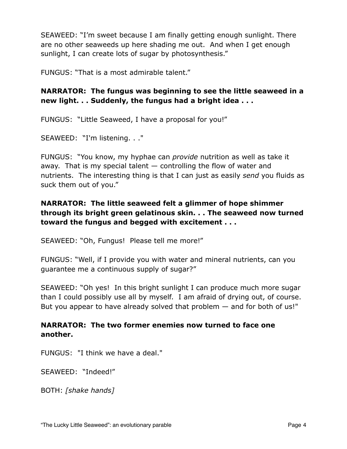SEAWEED: "I'm sweet because I am finally getting enough sunlight. There are no other seaweeds up here shading me out. And when I get enough sunlight, I can create lots of sugar by photosynthesis."

FUNGUS: "That is a most admirable talent."

**NARRATOR: The fungus was beginning to see the little seaweed in a new light. . . Suddenly, the fungus had a bright idea . . .**

FUNGUS: "Little Seaweed, I have a proposal for you!"

SEAWEED: "I'm listening. . ."

FUNGUS: "You know, my hyphae can *provide* nutrition as well as take it away. That is my special talent  $-$  controlling the flow of water and nutrients. The interesting thing is that I can just as easily *send* you fluids as suck them out of you."

### **NARRATOR: The little seaweed felt a glimmer of hope shimmer through its bright green gelatinous skin. . . The seaweed now turned toward the fungus and begged with excitement . . .**

SEAWEED: "Oh, Fungus! Please tell me more!"

FUNGUS: "Well, if I provide you with water and mineral nutrients, can you guarantee me a continuous supply of sugar?"

SEAWEED: "Oh yes! In this bright sunlight I can produce much more sugar than I could possibly use all by myself. I am afraid of drying out, of course. But you appear to have already solved that problem — and for both of us!"

### **NARRATOR: The two former enemies now turned to face one another.**

FUNGUS: "I think we have a deal."

SEAWEED: "Indeed!"

BOTH: *[shake hands]*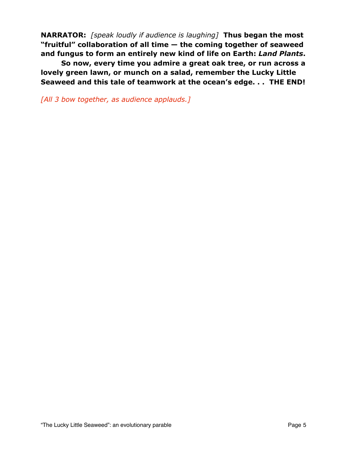**NARRATOR:** *[speak loudly if audience is laughing]* **Thus began the most "fruitful" collaboration of all time — the coming together of seaweed and fungus to form an entirely new kind of life on Earth:** *Land Plants***.**

 **So now, every time you admire a great oak tree, or run across a lovely green lawn, or munch on a salad, remember the Lucky Little Seaweed and this tale of teamwork at the ocean's edge. . . THE END!**

*[All 3 bow together, as audience applauds.]*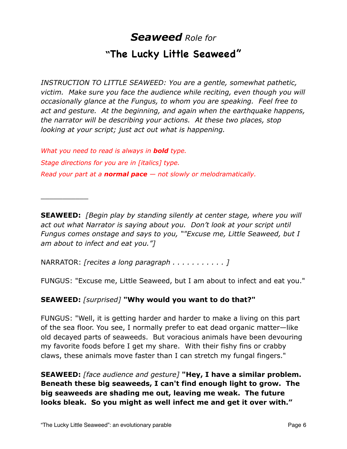### *Seaweed Role for* **"The Lucky Little Seaweed"**

*INSTRUCTION TO LITTLE SEAWEED: You are a gentle, somewhat pathetic, victim. Make sure you face the audience while reciting, even though you will occasionally glance at the Fungus, to whom you are speaking. Feel free to act and gesture. At the beginning, and again when the earthquake happens, the narrator will be describing your actions. At these two places, stop looking at your script; just act out what is happening.*

*What you need to read is always in bold type. Stage directions for you are in [italics] type. Read your part at a normal pace — not slowly or melodramatically.*

**SEAWEED:** *[Begin play by standing silently at center stage, where you will act out what Narrator is saying about you. Don't look at your script until Fungus comes onstage and says to you, ""Excuse me, Little Seaweed, but I am about to infect and eat you."]*

NARRATOR: *[recites a long paragraph . . . . . . . . . . . ]*

 $\overline{\phantom{a}}$  , where  $\overline{\phantom{a}}$ 

FUNGUS: "Excuse me, Little Seaweed, but I am about to infect and eat you."

**SEAWEED:** *[surprised]* **"Why would you want to do that?"**

FUNGUS: "Well, it is getting harder and harder to make a living on this part of the sea floor. You see, I normally prefer to eat dead organic matter—like old decayed parts of seaweeds. But voracious animals have been devouring my favorite foods before I get my share. With their fishy fins or crabby claws, these animals move faster than I can stretch my fungal fingers."

**SEAWEED:** *[face audience and gesture]* **"Hey, I have a similar problem. Beneath these big seaweeds, I can't find enough light to grow. The big seaweeds are shading me out, leaving me weak. The future looks bleak. So you might as well infect me and get it over with."**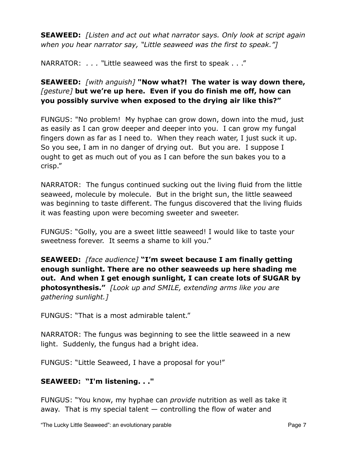**SEAWEED:** *[Listen and act out what narrator says. Only look at script again when you hear narrator say, "Little seaweed was the first to speak."]*

NARRATOR: *. . . "*Little seaweed was the first to speak . . ."

### **SEAWEED:** *[with anguish]* **"Now what?! The water is way down there,**  *[gesture]* **but we're up here. Even if you do finish me off, how can you possibly survive when exposed to the drying air like this?"**

FUNGUS: "No problem! My hyphae can grow down, down into the mud, just as easily as I can grow deeper and deeper into you. I can grow my fungal fingers down as far as I need to. When they reach water, I just suck it up. So you see, I am in no danger of drying out. But you are. I suppose I ought to get as much out of you as I can before the sun bakes you to a crisp."

NARRATOR: The fungus continued sucking out the living fluid from the little seaweed, molecule by molecule. But in the bright sun, the little seaweed was beginning to taste different. The fungus discovered that the living fluids it was feasting upon were becoming sweeter and sweeter.

FUNGUS: "Golly, you are a sweet little seaweed! I would like to taste your sweetness forever. It seems a shame to kill you."

**SEAWEED:** *[face audience]* **"I'm sweet because I am finally getting enough sunlight. There are no other seaweeds up here shading me out. And when I get enough sunlight, I can create lots of SUGAR by photosynthesis."** *[Look up and SMILE, extending arms like you are gathering sunlight.]*

FUNGUS: "That is a most admirable talent."

NARRATOR: The fungus was beginning to see the little seaweed in a new light. Suddenly, the fungus had a bright idea.

FUNGUS: "Little Seaweed, I have a proposal for you!"

### **SEAWEED: "I'm listening. . ."**

FUNGUS: "You know, my hyphae can *provide* nutrition as well as take it away. That is my special talent — controlling the flow of water and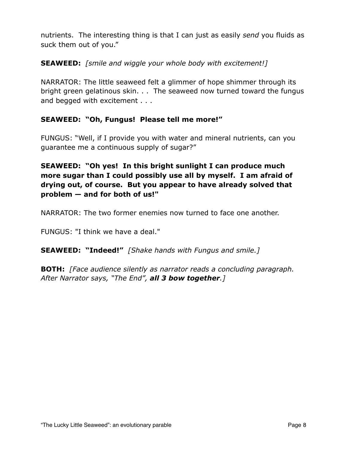nutrients. The interesting thing is that I can just as easily *send* you fluids as suck them out of you."

### **SEAWEED:** *[smile and wiggle your whole body with excitement!]*

NARRATOR: The little seaweed felt a glimmer of hope shimmer through its bright green gelatinous skin. . . The seaweed now turned toward the fungus and begged with excitement . . .

### **SEAWEED: "Oh, Fungus! Please tell me more!"**

FUNGUS: "Well, if I provide you with water and mineral nutrients, can you guarantee me a continuous supply of sugar?"

**SEAWEED: "Oh yes! In this bright sunlight I can produce much more sugar than I could possibly use all by myself. I am afraid of drying out, of course. But you appear to have already solved that problem — and for both of us!"**

NARRATOR: The two former enemies now turned to face one another.

FUNGUS: "I think we have a deal."

**SEAWEED: "Indeed!"** *[Shake hands with Fungus and smile.]*

**BOTH:** *[Face audience silently as narrator reads a concluding paragraph. After Narrator says, "The End", all 3 bow together.]*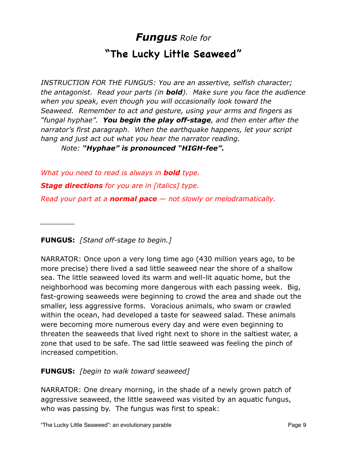## *Fungus Role for* **"The Lucky Little Seaweed"**

*INSTRUCTION FOR THE FUNGUS: You are an assertive, selfish character; the antagonist. Read your parts (in bold). Make sure you face the audience when you speak, even though you will occasionally look toward the Seaweed. Remember to act and gesture, using your arms and fingers as "fungal hyphae". You begin the play off-stage, and then enter after the narrator's first paragraph. When the earthquake happens, let your script hang and just act out what you hear the narrator reading.*

*Note: "Hyphae" is pronounced "HIGH-fee".*

*What you need to read is always in bold type. Stage directions for you are in [italics] type. Read your part at a normal pace — not slowly or melodramatically.*

**FUNGUS:** *[Stand off-stage to begin.]*

*\_\_\_\_\_\_\_\_*

NARRATOR: Once upon a very long time ago (430 million years ago, to be more precise) there lived a sad little seaweed near the shore of a shallow sea. The little seaweed loved its warm and well-lit aquatic home, but the neighborhood was becoming more dangerous with each passing week. Big, fast-growing seaweeds were beginning to crowd the area and shade out the smaller, less aggressive forms. Voracious animals, who swam or crawled within the ocean, had developed a taste for seaweed salad. These animals were becoming more numerous every day and were even beginning to threaten the seaweeds that lived right next to shore in the saltiest water, a zone that used to be safe. The sad little seaweed was feeling the pinch of increased competition.

### **FUNGUS:** *[begin to walk toward seaweed]*

NARRATOR: One dreary morning, in the shade of a newly grown patch of aggressive seaweed, the little seaweed was visited by an aquatic fungus, who was passing by. The fungus was first to speak: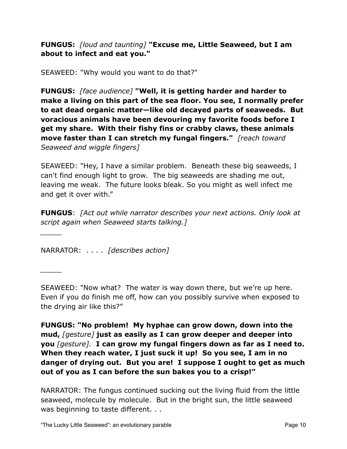**FUNGUS:** *[loud and taunting]* **"Excuse me, Little Seaweed, but I am about to infect and eat you."**

SEAWEED: "Why would you want to do that?"

**FUNGUS:** *[face audience]* **"Well, it is getting harder and harder to make a living on this part of the sea floor. You see, I normally prefer to eat dead organic matter—like old decayed parts of seaweeds. But voracious animals have been devouring my favorite foods before I get my share. With their fishy fins or crabby claws, these animals move faster than I can stretch my fungal fingers."** *[reach toward Seaweed and wiggle fingers]*

SEAWEED: "Hey, I have a similar problem. Beneath these big seaweeds, I can't find enough light to grow. The big seaweeds are shading me out, leaving me weak. The future looks bleak. So you might as well infect me and get it over with."

**FUNGUS**: *[Act out while narrator describes your next actions. Only look at script again when Seaweed starts talking.]*

NARRATOR: . . . . *[describes action]*

*\_\_\_\_\_*

*\_\_\_\_\_*

SEAWEED: "Now what? The water is way down there, but we're up here. Even if you do finish me off, how can you possibly survive when exposed to the drying air like this?"

**FUNGUS: "No problem! My hyphae can grow down, down into the mud,** *[gesture]* **just as easily as I can grow deeper and deeper into you** *[gesture].* **I can grow my fungal fingers down as far as I need to. When they reach water, I just suck it up! So you see, I am in no danger of drying out. But you are! I suppose I ought to get as much out of you as I can before the sun bakes you to a crisp!"**

NARRATOR: The fungus continued sucking out the living fluid from the little seaweed, molecule by molecule. But in the bright sun, the little seaweed was beginning to taste different. . .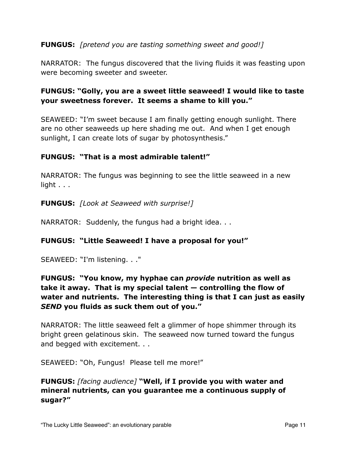### **FUNGUS:** *[pretend you are tasting something sweet and good!]*

NARRATOR: The fungus discovered that the living fluids it was feasting upon were becoming sweeter and sweeter.

### **FUNGUS: "Golly, you are a sweet little seaweed! I would like to taste your sweetness forever. It seems a shame to kill you."**

SEAWEED: "I'm sweet because I am finally getting enough sunlight. There are no other seaweeds up here shading me out. And when I get enough sunlight, I can create lots of sugar by photosynthesis."

### **FUNGUS: "That is a most admirable talent!"**

NARRATOR: The fungus was beginning to see the little seaweed in a new light . . .

#### **FUNGUS:** *[Look at Seaweed with surprise!]*

NARRATOR: Suddenly, the fungus had a bright idea. . .

#### **FUNGUS: "Little Seaweed! I have a proposal for you!"**

SEAWEED: "I'm listening. . ."

### **FUNGUS: "You know, my hyphae can** *provide* **nutrition as well as take it away. That is my special talent — controlling the flow of water and nutrients. The interesting thing is that I can just as easily**  *SEND* **you fluids as suck them out of you."**

NARRATOR: The little seaweed felt a glimmer of hope shimmer through its bright green gelatinous skin. The seaweed now turned toward the fungus and begged with excitement. . .

SEAWEED: "Oh, Fungus! Please tell me more!"

### **FUNGUS:** *[facing audience]* **"Well, if I provide you with water and mineral nutrients, can you guarantee me a continuous supply of sugar?"**